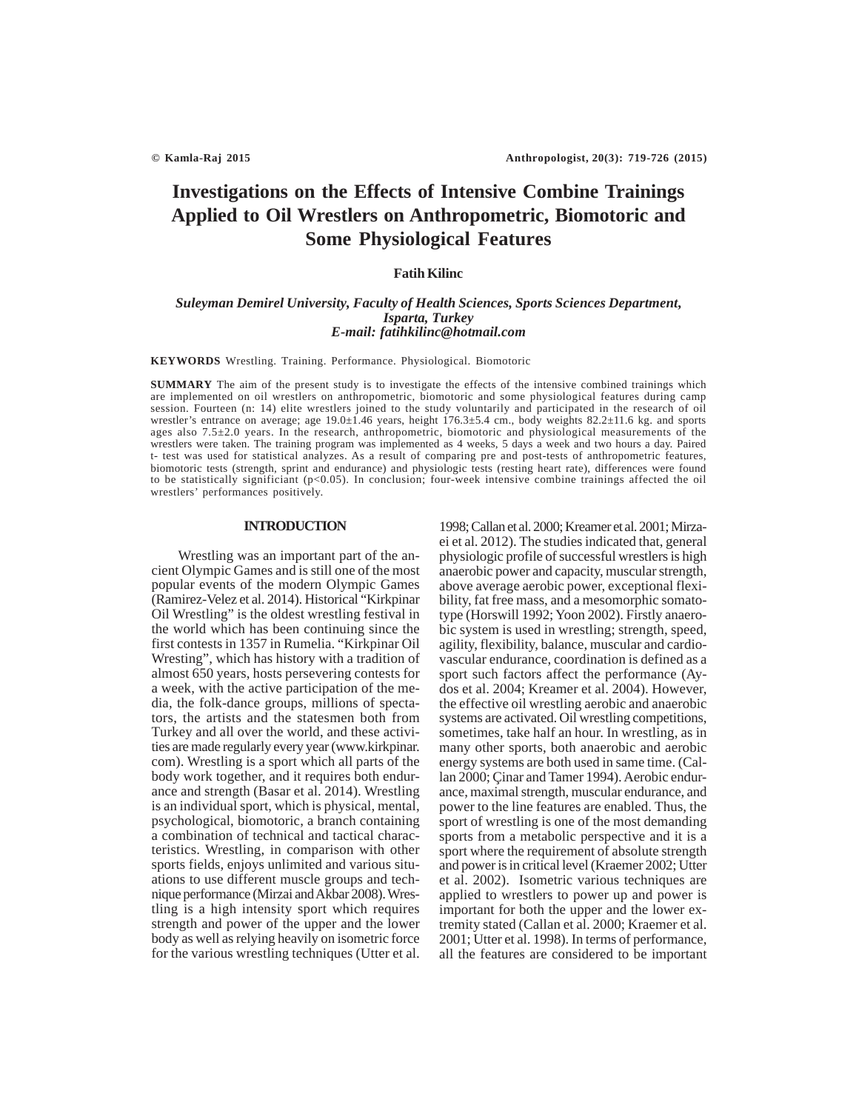# **Investigations on the Effects of Intensive Combine Trainings Applied to Oil Wrestlers on Anthropometric, Biomotoric and Some Physiological Features**

# **Fatih Kilinc**

# *Suleyman Demirel University, Faculty of Health Sciences, Sports Sciences Department***,** *Isparta, Turkey E-mail: fatihkilinc@hotmail.com*

**KEYWORDS** Wrestling. Training. Performance. Physiological. Biomotoric

**SUMMARY** The aim of the present study is to investigate the effects of the intensive combined trainings which are implemented on oil wrestlers on anthropometric, biomotoric and some physiological features during camp session. Fourteen (n: 14) elite wrestlers joined to the study voluntarily and participated in the research of oil wrestler's entrance on average; age 19.0±1.46 years, height  $176.3\pm5.4$  cm., body weights 82.2±11.6 kg. and sports ages also 7.5±2.0 years. In the research, anthropometric, biomotoric and physiological measurements of the wrestlers were taken. The training program was implemented as 4 weeks, 5 days a week and two hours a day. Paired t- test was used for statistical analyzes. As a result of comparing pre and post-tests of anthropometric features, biomotoric tests (strength, sprint and endurance) and physiologic tests (resting heart rate), differences were found to be statistically significiant (p<0.05). In conclusion; four-week intensive combine trainings affected the oil wrestlers' performances positively.

# **INTRODUCTION**

 Wrestling was an important part of the ancient Olympic Games and is still one of the most popular events of the modern Olympic Games (Ramirez-Velez et al. 2014). Historical "Kirkpinar Oil Wrestling" is the oldest wrestling festival in the world which has been continuing since the first contests in 1357 in Rumelia. "Kirkpinar Oil Wresting", which has history with a tradition of almost 650 years, hosts persevering contests for a week, with the active participation of the media, the folk-dance groups, millions of spectators, the artists and the statesmen both from Turkey and all over the world, and these activities are made regularly every year (www.kirkpinar. com). Wrestling is a sport which all parts of the body work together, and it requires both endurance and strength (Basar et al. 2014). Wrestling is an individual sport, which is physical, mental, psychological, biomotoric, a branch containing a combination of technical and tactical characteristics. Wrestling, in comparison with other sports fields, enjoys unlimited and various situations to use different muscle groups and technique performance (Mirzai and Akbar 2008). Wrestling is a high intensity sport which requires strength and power of the upper and the lower body as well as relying heavily on isometric force for the various wrestling techniques (Utter et al.

1998; Callan et al. 2000; Kreamer et al. 2001; Mirzaei et al. 2012). The studies indicated that, general physiologic profile of successful wrestlers is high anaerobic power and capacity, muscular strength, above average aerobic power, exceptional flexibility, fat free mass, and a mesomorphic somatotype (Horswill 1992; Yoon 2002). Firstly anaerobic system is used in wrestling; strength, speed, agility, flexibility, balance, muscular and cardiovascular endurance, coordination is defined as a sport such factors affect the performance (Aydos et al. 2004; Kreamer et al. 2004). However, the effective oil wrestling aerobic and anaerobic systems are activated. Oil wrestling competitions, sometimes, take half an hour. In wrestling, as in many other sports, both anaerobic and aerobic energy systems are both used in same time. (Callan 2000; Çinar and Tamer 1994). Aerobic endurance, maximal strength, muscular endurance, and power to the line features are enabled. Thus, the sport of wrestling is one of the most demanding sports from a metabolic perspective and it is a sport where the requirement of absolute strength and power is in critical level (Kraemer 2002; Utter et al. 2002). Isometric various techniques are applied to wrestlers to power up and power is important for both the upper and the lower extremity stated (Callan et al. 2000; Kraemer et al. 2001; Utter et al. 1998). In terms of performance, all the features are considered to be important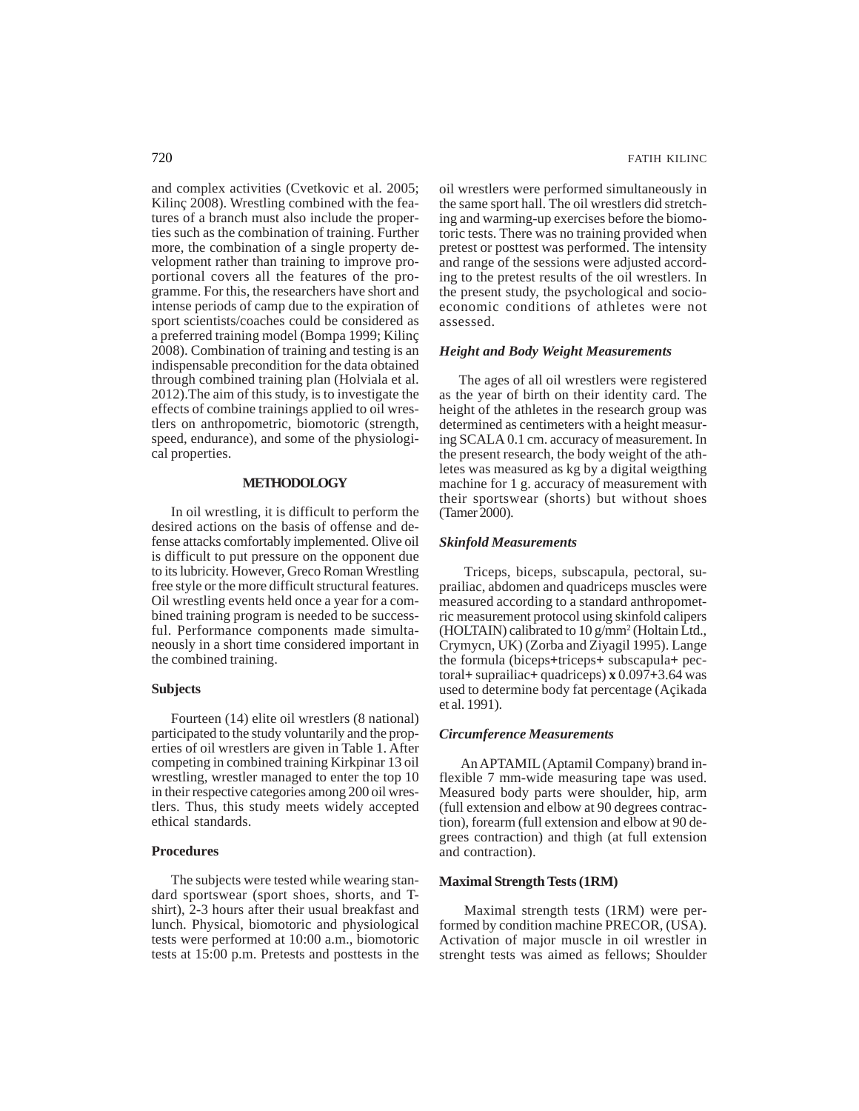and complex activities (Cvetkovic et al. 2005; Kilinç 2008). Wrestling combined with the features of a branch must also include the properties such as the combination of training. Further more, the combination of a single property development rather than training to improve proportional covers all the features of the programme. For this, the researchers have short and intense periods of camp due to the expiration of sport scientists/coaches could be considered as a preferred training model (Bompa 1999; Kilinç 2008). Combination of training and testing is an indispensable precondition for the data obtained through combined training plan (Holviala et al. 2012).The aim of this study, is to investigate the effects of combine trainings applied to oil wrestlers on anthropometric, biomotoric (strength, speed, endurance), and some of the physiological properties.

# **METHODOLOGY**

In oil wrestling, it is difficult to perform the desired actions on the basis of offense and defense attacks comfortably implemented. Olive oil is difficult to put pressure on the opponent due to its lubricity. However, Greco Roman Wrestling free style or the more difficult structural features. Oil wrestling events held once a year for a combined training program is needed to be successful. Performance components made simultaneously in a short time considered important in the combined training.

# **Subjects**

Fourteen (14) elite oil wrestlers (8 national) participated to the study voluntarily and the properties of oil wrestlers are given in Table 1. After competing in combined training Kirkpinar 13 oil wrestling, wrestler managed to enter the top 10 in their respective categories among 200 oil wrestlers. Thus, this study meets widely accepted ethical standards.

#### **Procedures**

The subjects were tested while wearing standard sportswear (sport shoes, shorts, and Tshirt), 2-3 hours after their usual breakfast and lunch. Physical, biomotoric and physiological tests were performed at 10:00 a.m., biomotoric tests at 15:00 p.m. Pretests and posttests in the oil wrestlers were performed simultaneously in the same sport hall. The oil wrestlers did stretching and warming-up exercises before the biomotoric tests. There was no training provided when pretest or posttest was performed. The intensity and range of the sessions were adjusted according to the pretest results of the oil wrestlers. In the present study, the psychological and socioeconomic conditions of athletes were not assessed.

## *Height and Body Weight Measurements*

The ages of all oil wrestlers were registered as the year of birth on their identity card. The height of the athletes in the research group was determined as centimeters with a height measuring SCALA 0.1 cm. accuracy of measurement. In the present research, the body weight of the athletes was measured as kg by a digital weigthing machine for 1 g. accuracy of measurement with their sportswear (shorts) but without shoes (Tamer 2000).

#### *Skinfold Measurements*

 Triceps, biceps, subscapula, pectoral, suprailiac, abdomen and quadriceps muscles were measured according to a standard anthropometric measurement protocol using skinfold calipers (HOLTAIN) calibrated to 10 g/mm<sup>2</sup> (Holtain Ltd., Crymycn, UK) (Zorba and Ziyagil 1995). Lange the formula (biceps**+**triceps**+** subscapula**+** pectoral**+** suprailiac**+** quadriceps) **x** 0.097**+**3.64 was used to determine body fat percentage (Açikada et al. 1991).

# *Circumference Measurements*

 An APTAMIL (Aptamil Company) brand inflexible 7 mm-wide measuring tape was used. Measured body parts were shoulder, hip, arm (full extension and elbow at 90 degrees contraction), forearm (full extension and elbow at 90 degrees contraction) and thigh (at full extension and contraction).

# **Maximal Strength Tests (1RM)**

Maximal strength tests (1RM) were performed by condition machine PRECOR, (USA). Activation of major muscle in oil wrestler in strenght tests was aimed as fellows; Shoulder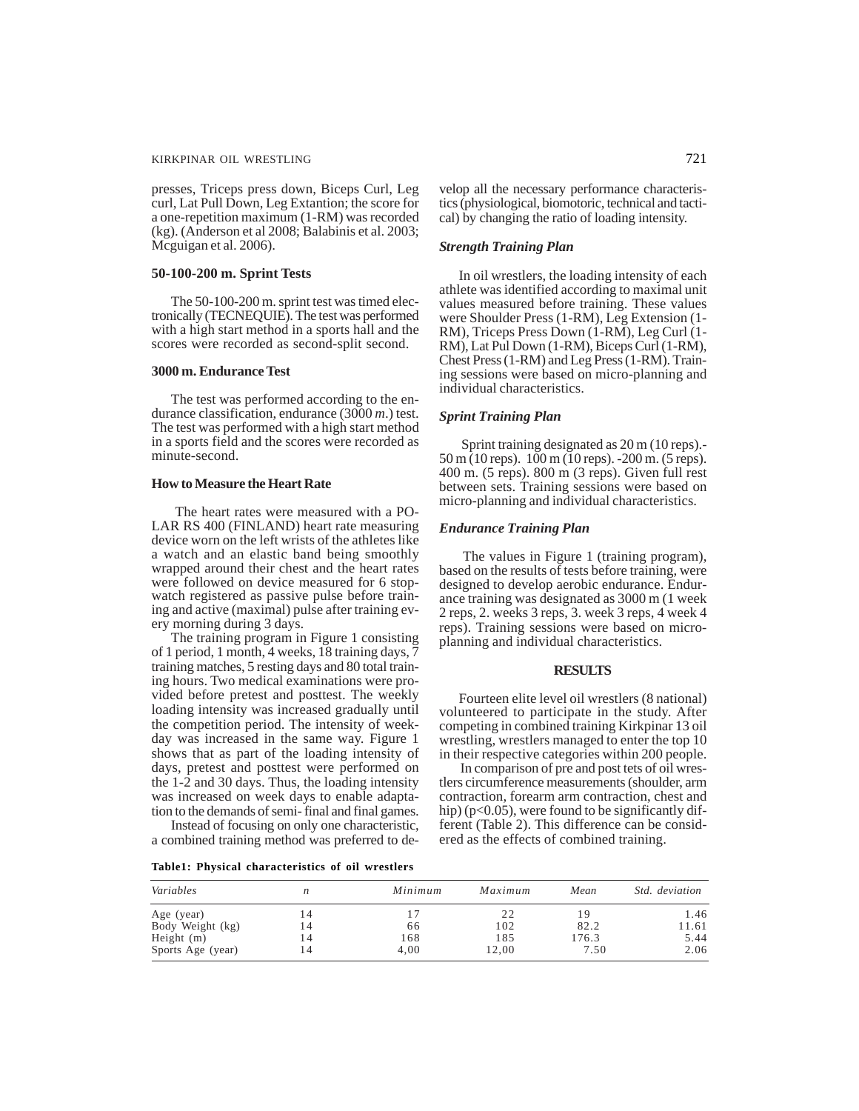presses, Triceps press down, Biceps Curl, Leg curl, Lat Pull Down, Leg Extantion; the score for a one-repetition maximum (1-RM) was recorded (kg). (Anderson et al 2008; Balabinis et al. 2003; Mcguigan et al. 2006).

#### **50-100-200 m. Sprint Tests**

The 50-100-200 m. sprint test was timed electronically (TECNEQUIE). The test was performed with a high start method in a sports hall and the scores were recorded as second-split second.

#### **3000 m. Endurance Test**

The test was performed according to the endurance classification, endurance (3000 *m*.) test. The test was performed with a high start method in a sports field and the scores were recorded as minute-second.

# **How to Measure the Heart Rate**

 The heart rates were measured with a PO-LAR RS 400 (FINLAND) heart rate measuring device worn on the left wrists of the athletes like a watch and an elastic band being smoothly wrapped around their chest and the heart rates were followed on device measured for 6 stopwatch registered as passive pulse before training and active (maximal) pulse after training every morning during 3 days.

The training program in Figure 1 consisting of 1 period, 1 month, 4 weeks, 18 training days, 7 training matches, 5 resting days and 80 total training hours. Two medical examinations were provided before pretest and posttest. The weekly loading intensity was increased gradually until the competition period. The intensity of weekday was increased in the same way. Figure 1 shows that as part of the loading intensity of days, pretest and posttest were performed on the 1-2 and 30 days. Thus, the loading intensity was increased on week days to enable adaptation to the demands of semi- final and final games.

Instead of focusing on only one characteristic, a combined training method was preferred to de-

**Table1: Physical characteristics of oil wrestlers**

velop all the necessary performance characteristics (physiological, biomotoric, technical and tactical) by changing the ratio of loading intensity.

# *Strength Training Plan*

In oil wrestlers, the loading intensity of each athlete was identified according to maximal unit values measured before training. These values were Shoulder Press (1-RM), Leg Extension (1- RM), Triceps Press Down (1-RM), Leg Curl (1- RM), Lat Pul Down (1-RM), Biceps Curl (1-RM), Chest Press (1-RM) and Leg Press (1-RM). Training sessions were based on micro-planning and individual characteristics.

## *Sprint Training Plan*

Sprint training designated as 20 m (10 reps).- 50 m (10 reps). 100 m (10 reps). -200 m. (5 reps). 400 m. (5 reps). 800 m (3 reps). Given full rest between sets. Training sessions were based on micro-planning and individual characteristics.

#### *Endurance Training Plan*

The values in Figure 1 (training program), based on the results of tests before training, were designed to develop aerobic endurance. Endurance training was designated as 3000 m (1 week 2 reps, 2. weeks 3 reps, 3. week 3 reps, 4 week 4 reps). Training sessions were based on microplanning and individual characteristics.

## **RESULTS**

Fourteen elite level oil wrestlers (8 national) volunteered to participate in the study. After competing in combined training Kirkpinar 13 oil wrestling, wrestlers managed to enter the top 10 in their respective categories within 200 people.

In comparison of pre and post tets of oil wrestlers circumference measurements (shoulder, arm contraction, forearm arm contraction, chest and hip) ( $p<0.05$ ), were found to be significantly different (Table 2). This difference can be considered as the effects of combined training.

| Variables         |    | Minimum | Maximum | Mean  | <i>Std.</i> deviation |
|-------------------|----|---------|---------|-------|-----------------------|
| Age (year)        | 14 |         | 22      |       | 1.46                  |
| Body Weight (kg)  | 14 | 66      | 102     | 82.2  | 11.61                 |
| Height $(m)$      | 14 | 168     | 185     | 176.3 | 5.44                  |
| Sports Age (year) | 14 | 4.00    | 12.00   | 7.50  | 2.06                  |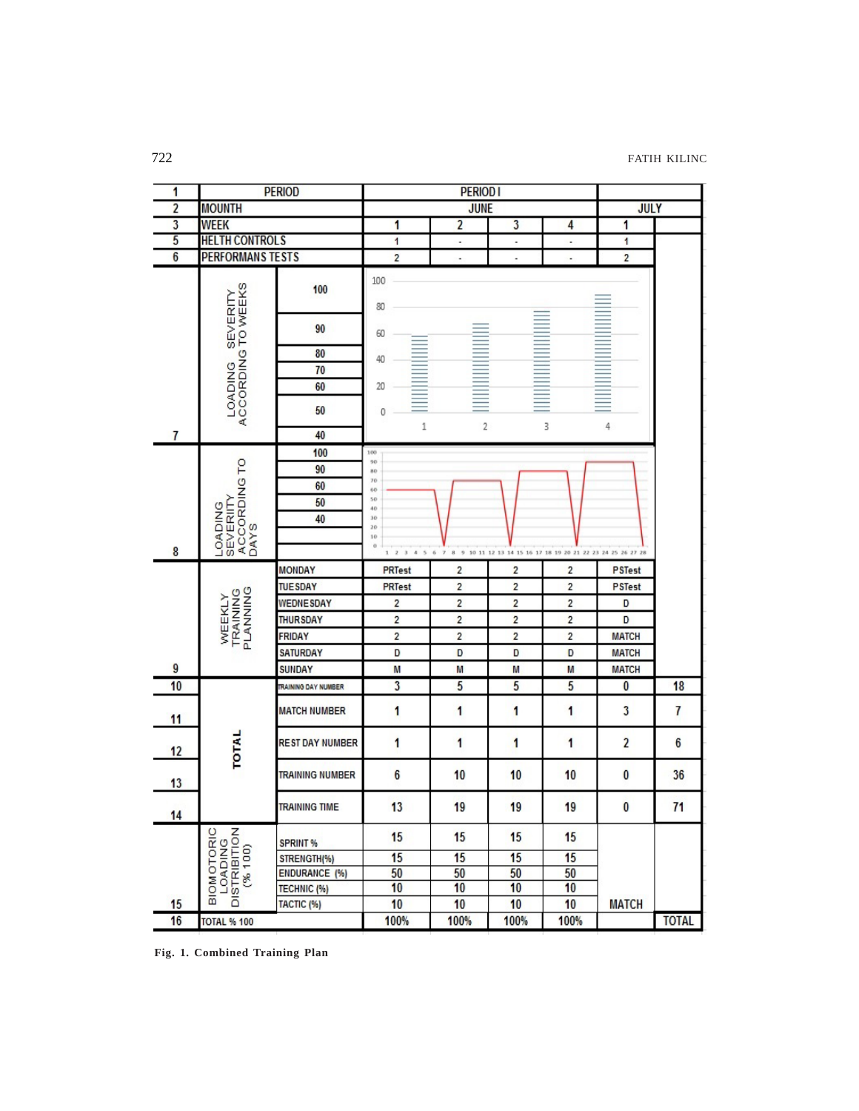| 1                       |                                                                  | <b>PERIOD</b>              |                         | <b>PERIOD I</b>          |                                                              |                         |                         |              |
|-------------------------|------------------------------------------------------------------|----------------------------|-------------------------|--------------------------|--------------------------------------------------------------|-------------------------|-------------------------|--------------|
| $\overline{\mathbf{2}}$ | <b>MOUNTH</b>                                                    |                            | <b>JUNE</b>             |                          |                                                              | <b>JULY</b>             |                         |              |
| $\overline{\mathbf{3}}$ | <b>WEEK</b>                                                      |                            | 1                       | $\overline{2}$           | $\overline{\mathbf{3}}$                                      | 4                       | 1                       |              |
| 5                       | <b>HELTH CONTROLS</b>                                            |                            | $\mathbf{1}$            | ٠                        | ۰                                                            | ٠                       | 1                       |              |
| $\overline{6}$          | <b>PERFORMANS TESTS</b>                                          |                            | $\overline{\mathbf{2}}$ | $\overline{\phantom{a}}$ |                                                              | $\frac{1}{2}$           | $\overline{2}$          |              |
|                         | ACCORDING TO WEEKS                                               | 100                        | 100<br>80               |                          |                                                              |                         |                         |              |
|                         | SEVERITY                                                         | 90                         | 60                      |                          |                                                              |                         |                         |              |
|                         |                                                                  | 80                         | 40                      |                          |                                                              |                         |                         |              |
|                         |                                                                  | 70                         |                         |                          |                                                              |                         |                         |              |
|                         |                                                                  | 60                         | 20                      |                          |                                                              |                         |                         |              |
|                         | <b>LOADING</b>                                                   | 50                         | 0                       |                          |                                                              |                         |                         |              |
| 7                       |                                                                  | 40                         | 1                       | 2                        |                                                              | 3                       | 4                       |              |
|                         |                                                                  | 100                        | 100                     |                          |                                                              |                         |                         |              |
|                         | ACCORDING TO                                                     | 90                         | 90<br>80                |                          |                                                              |                         |                         |              |
|                         |                                                                  | 60                         | 70<br>60                |                          |                                                              |                         |                         |              |
|                         |                                                                  | 50                         | 50<br>40                |                          |                                                              |                         |                         |              |
|                         |                                                                  | 40                         | $_{30}$<br>20           |                          |                                                              |                         |                         |              |
|                         | <b>SEVERIITY</b><br><b>LOADING</b><br><b>DAYS</b>                |                            | 10                      |                          |                                                              |                         |                         |              |
| 8                       |                                                                  |                            | $\alpha$<br>1 2 3 4 5 6 | $\tau$                   | 8 9 10 11 12 13 14 15 16 17 18 19 20 21 22 23 24 25 26 27 28 |                         |                         |              |
|                         |                                                                  | <b>MONDAY</b>              | PRTest                  | 2                        | $\overline{2}$                                               | 2                       | <b>PSTest</b>           |              |
|                         |                                                                  | <b>TUESDAY</b>             | <b>PRTest</b>           | 2                        | $\overline{\mathbf{c}}$                                      | $\overline{\mathbf{c}}$ | <b>PSTest</b>           |              |
|                         | <b>TRAINING</b><br>PLANNING<br>WEEKLY                            | <b>WEDNESDAY</b>           | $\overline{\mathbf{c}}$ | $\overline{\mathbf{c}}$  | $\overline{\mathbf{c}}$                                      | $\overline{\mathbf{c}}$ | D                       |              |
|                         |                                                                  | <b>THURSDAY</b>            | $\overline{\mathbf{c}}$ | $\overline{c}$           | $\overline{\mathbf{c}}$                                      | $\overline{\mathbf{c}}$ | D                       |              |
|                         |                                                                  | <b>FRIDAY</b>              | $\overline{\mathbf{c}}$ | $\overline{\mathbf{c}}$  | $\overline{2}$                                               | $\overline{\mathbf{c}}$ | <b>MATCH</b>            |              |
|                         |                                                                  | <b>SATURDAY</b>            | D                       | D                        | D                                                            | D                       | <b>MATCH</b>            |              |
| 9                       |                                                                  | <b>SUNDAY</b>              | M                       | M                        | M                                                            | M                       | <b>MATCH</b>            |              |
| 10                      |                                                                  | <b>TRAINING DAY NUMBER</b> | $\overline{\mathbf{3}}$ | 5                        | 5                                                            | 5                       | $\overline{\mathbf{0}}$ | 18           |
| 11                      |                                                                  | <b>MATCH NUMBER</b>        | 1                       | 1                        | 1                                                            | 1                       | $\overline{\mathbf{3}}$ | 7            |
| 12                      | TOTAL                                                            | <b>REST DAY NUMBER</b>     | 1                       | 1                        | 1                                                            | 1                       | $\overline{a}$          | 6            |
| 13                      |                                                                  | <b>TRAINING NUMBER</b>     | $6\phantom{.0}$         | 10                       | 10                                                           | 10                      | $\bf{0}$                | 36           |
| 14                      |                                                                  | <b>TRAINING TIME</b>       | 13                      | 19                       | 19                                                           | 19                      | $\bf{0}$                | 71           |
|                         | BIOMOTORIC<br>LOADING<br>DISTRIBITION<br>DISTRIBITION<br>C% 100) | <b>SPRINT %</b>            | 15                      | 15                       | 15                                                           | 15                      |                         |              |
|                         |                                                                  | STRENGTH(%)                | 15                      | 15                       | 15                                                           | 15                      |                         |              |
|                         |                                                                  | ENDURANCE (%)              | 50                      | 50                       | 50                                                           | 50                      |                         |              |
|                         |                                                                  | TECHNIC (%)                | 10                      | 10                       | 10                                                           | 10                      |                         |              |
| 15                      |                                                                  | TACTIC (%)                 | 10                      | 10                       | 10                                                           | 10                      | <b>MATCH</b>            |              |
| 16                      | <b>TOTAL % 100</b>                                               |                            | 100%                    | 100%                     | 100%                                                         | 100%                    |                         | <b>TOTAL</b> |

**Fig. 1. Combined Training Plan**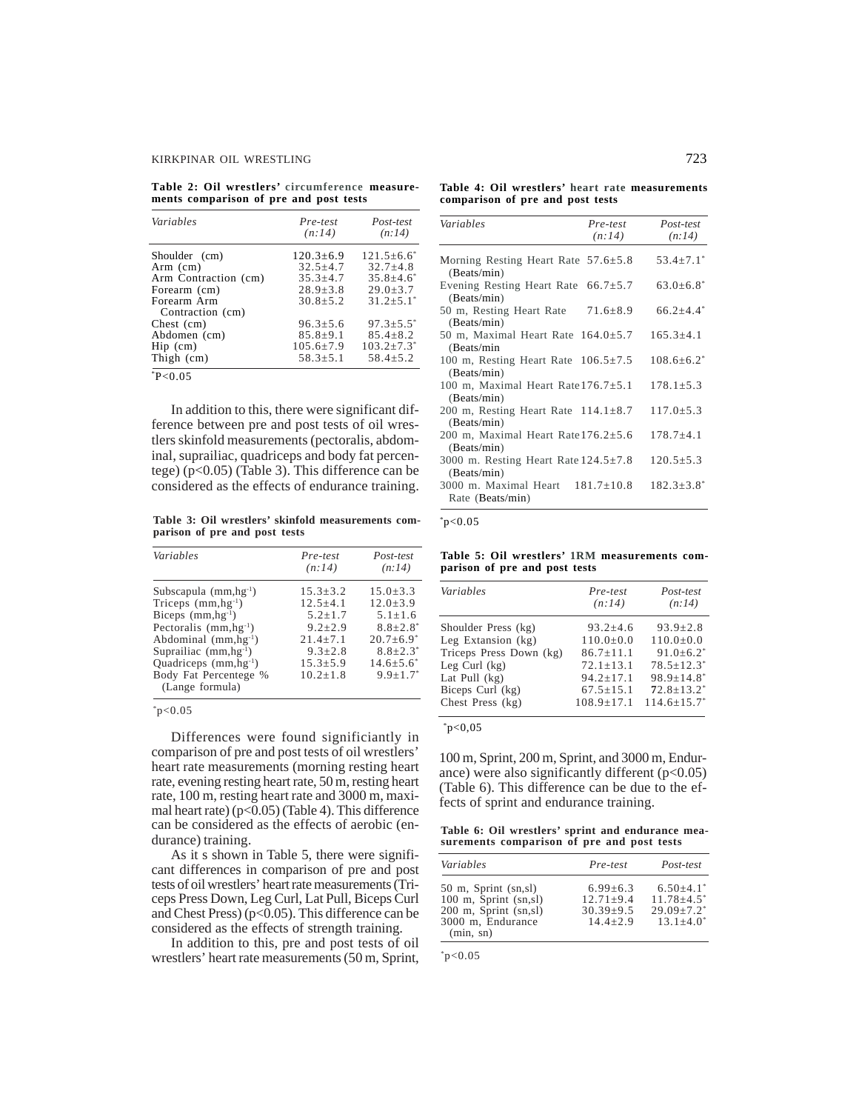**Table 2: Oil wrestlers' circumference measurements comparison of pre and post tests**

| Variables                       | Pre-test<br>(n:14) | Post-test<br>(n:14)        |
|---------------------------------|--------------------|----------------------------|
| Shoulder (cm)                   | $120.3 \pm 6.9$    | $121.5 + 6.6^*$            |
| $Arm$ (cm)                      | $32.5 + 4.7$       | $32.7 + 4.8$               |
| Arm Contraction (cm)            | $35.3 + 4.7$       | $35.8 + 4.6^*$             |
| Forearm (cm)                    | $28.9 + 3.8$       | $29.0 + 3.7$               |
| Forearm Arm<br>Contraction (cm) | $30.8 + 5.2$       | $31.2 + 5.1$ <sup>*</sup>  |
| Chest (cm)                      | $96.3 + 5.6$       | $97.3 + 5.5$ <sup>*</sup>  |
| Abdomen (cm)                    | $85.8 \pm 9.1$     | $85.4 + 8.2$               |
| $\text{Hip}$ (cm)               | $105.6 + 7.9$      | $103.2 + 7.3$ <sup>*</sup> |
| Thigh (cm)                      | $58.3 \pm 5.1$     | $58.4 \pm 5.2$             |
| P < 0.05                        |                    |                            |

In addition to this, there were significant difference between pre and post tests of oil wrestlers skinfold measurements (pectoralis, abdominal, suprailiac, quadriceps and body fat percentege) (p<0.05) (Table 3). This difference can be considered as the effects of endurance training.

**Table 3: Oil wrestlers' skinfold measurements comparison of pre and post tests**

| Variables                  | Pre-test<br>(n:14) | Post-test<br>(n:14)         |
|----------------------------|--------------------|-----------------------------|
| Subscapula $(mm,hg^{-1})$  | $15.3 + 3.2$       | $15.0 \pm 3.3$              |
| Triceps $(mm,hg^{-1})$     | $12.5 + 4.1$       | $12.0 + 3.9$                |
| Biceps $(mm,hg^{-1})$      | $5.2 + 1.7$        | $5.1 + 1.6$                 |
| Pectoralis $(mm,hg^{-1})$  | $9.2 + 2.9$        | $8.8 + 2.8$ <sup>*</sup>    |
| Abdominal $(mm,hg^{-1})$   | $21.4 + 7.1$       | $20.7 \pm 6.9$ <sup>*</sup> |
| Suprailiac $(mm,hg^{-1})$  | $9.3 + 2.8$        | $8.8 + 2.3^*$               |
| Quadriceps $(mm, hg^{-1})$ | $15.3 + 5.9$       | $14.6 + 5.6^*$              |
| Body Fat Percentege %      | $10.2 + 1.8$       | $9.9 \pm 1.7$               |
| (Lange formula)            |                    |                             |

 $*_{p<0.05}$ 

Differences were found significiantly in comparison of pre and post tests of oil wrestlers' heart rate measurements (morning resting heart rate, evening resting heart rate, 50 m, resting heart rate, 100 m, resting heart rate and 3000 m, maximal heart rate)  $(p<0.05)$  (Table 4). This difference can be considered as the effects of aerobic (endurance) training.

As it s shown in Table 5, there were significant differences in comparison of pre and post tests of oil wrestlers' heart rate measurements (Triceps Press Down, Leg Curl, Lat Pull, Biceps Curl and Chest Press) ( $p<0.05$ ). This difference can be considered as the effects of strength training.

In addition to this, pre and post tests of oil wrestlers' heart rate measurements (50 m, Sprint,

**Table 4: Oil wrestlers' heart rate measurements comparison of pre and post tests**

| Variables                                                  | Pre-test<br>(n:14) | Post-test<br>(n:14)         |
|------------------------------------------------------------|--------------------|-----------------------------|
| Morning Resting Heart Rate $57.6 \pm 5.8$<br>(Beats/min)   |                    | $53.4 \pm 7.1$              |
| Evening Resting Heart Rate $66.7 \pm 5.7$<br>(Beats/min)   |                    | $63.0 \pm 6.8$ <sup>*</sup> |
| 50 m, Resting Heart Rate $71.6 \pm 8.9$<br>(Beats/min)     |                    | $66.2 + 4.4$ <sup>*</sup>   |
| 50 m, Maximal Heart Rate $164.0 \pm 5.7$<br>(Beats/min     |                    | $165.3 \pm 4.1$             |
| 100 m, Resting Heart Rate $106.5 \pm 7.5$<br>(Beats/min)   |                    | $108.6 + 6.2$ <sup>*</sup>  |
| 100 m, Maximal Heart Rate $176.7 \pm 5.1$<br>(Beats/min)   |                    | $178.1 \pm 5.3$             |
| 200 m, Resting Heart Rate $114.1 \pm 8.7$<br>(Beats/min)   |                    | $117.0 \pm 5.3$             |
| 200 m, Maximal Heart Rate $176.2 \pm 5.6$<br>(Beats/min)   |                    | $178.7 + 4.1$               |
| 3000 m. Resting Heart Rate $124.5 \pm 7.8$<br>(Beats/min)  |                    | $120.5 \pm 5.3$             |
| 3000 m. Maximal Heart $181.7 \pm 10.8$<br>Rate (Beats/min) |                    | $182.3 + 3.8$ <sup>*</sup>  |

 $*p<0.05$ 

**Table 5: Oil wrestlers' 1RM measurements comparison of pre and post tests**

| Variables               | Pre-test<br>(n:14) | Post-test<br>(n:14)          |
|-------------------------|--------------------|------------------------------|
| Shoulder Press (kg)     | $93.2 \pm 4.6$     | $93.9 \pm 2.8$               |
| Leg Extansion $(kg)$    | $110.0 \pm 0.0$    | $110.0 \pm 0.0$              |
| Triceps Press Down (kg) | $86.7 + 11.1$      | $91.0 \pm 6.2$ <sup>*</sup>  |
| Leg Curl $(kg)$         | $72.1 + 13.1$      | $78.5 \pm 12.3$ <sup>*</sup> |
| Lat Pull (kg)           | $94.2 \pm 17.1$    | $98.9 \pm 14.8$ <sup>*</sup> |
| Biceps Curl (kg)        | $67.5 \pm 15.1$    | $72.8 \pm 13.2^*$            |
| Chest Press (kg)        | $108.9 + 17.1$     | $114.6 \pm 15.7^*$           |

 $*p<0,05$ 

100 m, Sprint, 200 m, Sprint, and 3000 m, Endurance) were also significantly different  $(p<0.05)$ (Table 6). This difference can be due to the effects of sprint and endurance training.

**Table 6: Oil wrestlers' sprint and endurance measurements comparison of pre and post tests**

| Variables                                                                                                     | Pre-test                                                       | Post-test                                                                                  |
|---------------------------------------------------------------------------------------------------------------|----------------------------------------------------------------|--------------------------------------------------------------------------------------------|
| 50 m, Sprint (sn,sl)<br>100 m, Sprint (sn,sl)<br>$200$ m, Sprint $(sn, sl)$<br>3000 m, Endurance<br>(min, sn) | $6.99 + 6.3$<br>$12.71 + 9.4$<br>$30.39 + 9.5$<br>$14.4 + 2.9$ | $6.50 + 4.1$<br>$11.78 + 4.5$ <sup>*</sup><br>$29.09 + 7.2$ <sup>*</sup><br>$13.1 + 4.0^*$ |

 $~^{\circ}p<0.05$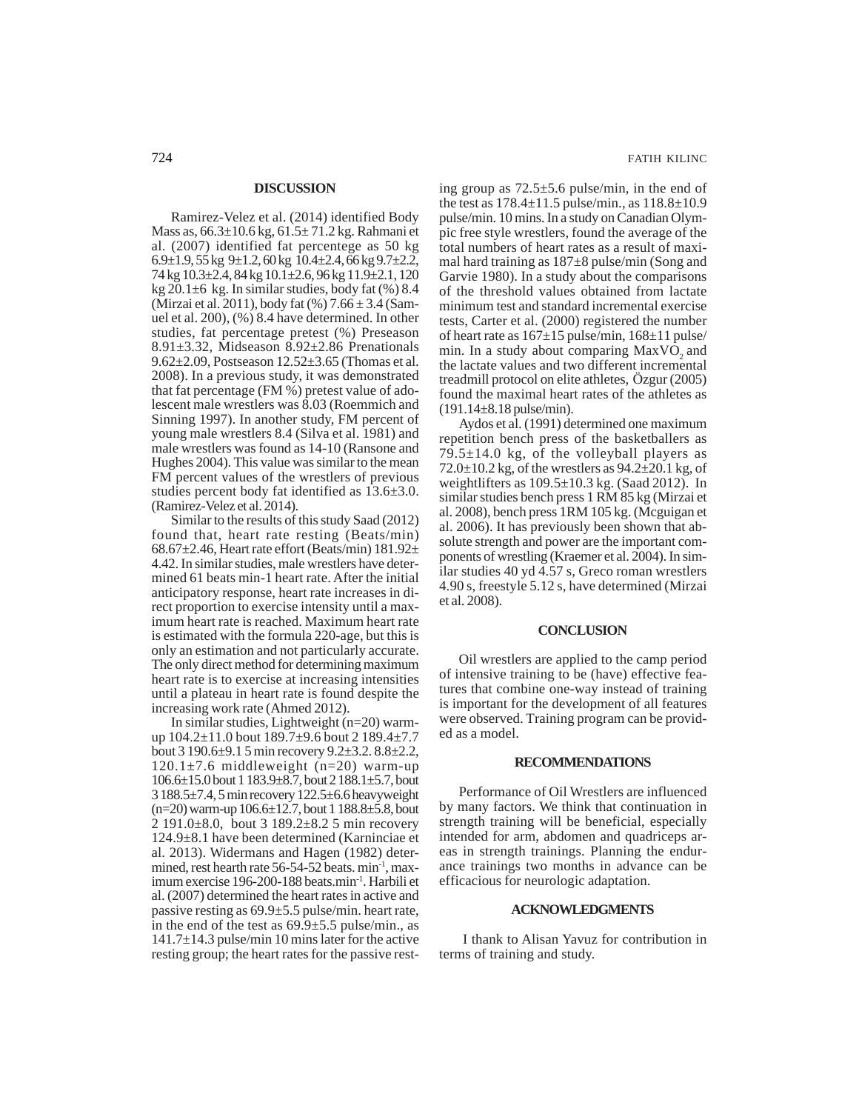#### **DISCUSSION**

Ramirez-Velez et al. (2014) identified Body Mass as, 66.3±10.6 kg, 61.5± 71.2 kg. Rahmani et al. (2007) identified fat percentege as 50 kg 6.9 $\pm$ 1.9, 55 kg 9 $\pm$ 1.2, 60 kg 10.4 $\pm$ 2.4, 66 kg 9.7 $\pm$ 2.2, 74 kg 10.3±2.4, 84 kg 10.1±2.6, 96 kg 11.9±2.1, 120 kg  $20.1\pm6$  kg. In similar studies, body fat (%) 8.4 (Mirzai et al. 2011), body fat  $(\%)$  7.66  $\pm$  3.4 (Samuel et al. 200), (%) 8.4 have determined. In other studies, fat percentage pretest (%) Preseason 8.91±3.32, Midseason 8.92±2.86 Prenationals 9.62±2.09, Postseason 12.52±3.65 (Thomas et al. 2008). In a previous study, it was demonstrated that fat percentage (FM %) pretest value of adolescent male wrestlers was 8.03 (Roemmich and Sinning 1997). In another study, FM percent of young male wrestlers 8.4 (Silva et al. 1981) and male wrestlers was found as 14-10 (Ransone and Hughes 2004). This value was similar to the mean FM percent values of the wrestlers of previous studies percent body fat identified as 13.6±3.0. (Ramirez-Velez et al. 2014).

Similar to the results of this study Saad (2012) found that, heart rate resting (Beats/min) 68.67±2.46, Heart rate effort (Beats/min) 181.92± 4.42. In similar studies, male wrestlers have determined 61 beats min-1 heart rate. After the initial anticipatory response, heart rate increases in direct proportion to exercise intensity until a maximum heart rate is reached. Maximum heart rate is estimated with the formula 220-age, but this is only an estimation and not particularly accurate. The only direct method for determining maximum heart rate is to exercise at increasing intensities until a plateau in heart rate is found despite the increasing work rate (Ahmed 2012).

In similar studies, Lightweight (n=20) warmup 104.2±11.0 bout 189.7±9.6 bout 2 189.4±7.7 bout 3 190.6±9.1 5 min recovery 9.2±3.2. 8.8±2.2,  $120.1\pm7.6$  middleweight (n=20) warm-up 106.6±15.0 bout 1 183.9±8.7, bout 2 188.1±5.7, bout 3 188.5±7.4, 5 min recovery 122.5±6.6 heavyweight  $(n=20)$  warm-up  $106.6\pm12.7$ , bout 1 188.8 $\pm$ 5.8, bout 2 191.0±8.0, bout 3 189.2±8.2 5 min recovery 124.9±8.1 have been determined (Karninciae et al. 2013). Widermans and Hagen (1982) determined, rest hearth rate  $56-54-52$  beats. min<sup>-1</sup>, maximum exercise 196-200-188 beats.min-1. Harbili et al. (2007) determined the heart rates in active and passive resting as 69.9±5.5 pulse/min. heart rate, in the end of the test as 69.9±5.5 pulse/min., as  $141.7\pm14.3$  pulse/min 10 mins later for the active resting group; the heart rates for the passive resting group as 72.5±5.6 pulse/min, in the end of the test as  $178.4 \pm 11.5$  pulse/min., as  $118.8 \pm 10.9$ pulse/min. 10 mins. In a study on Canadian Olympic free style wrestlers, found the average of the total numbers of heart rates as a result of maximal hard training as 187±8 pulse/min (Song and Garvie 1980). In a study about the comparisons of the threshold values obtained from lactate minimum test and standard incremental exercise tests, Carter et al. (2000) registered the number of heart rate as  $167\pm15$  pulse/min,  $168\pm11$  pulse/ min. In a study about comparing  $MaxVO<sub>2</sub>$  and the lactate values and two different incremental treadmill protocol on elite athletes, Özgur (2005) found the maximal heart rates of the athletes as (191.14±8.18 pulse/min).

Aydos et al. (1991) determined one maximum repetition bench press of the basketballers as  $79.5 \pm 14.0$  kg, of the volleyball players as  $72.0\pm10.2$  kg, of the wrestlers as  $94.2\pm20.1$  kg, of weightlifters as 109.5±10.3 kg. (Saad 2012). In similar studies bench press 1 RM 85 kg (Mirzai et al. 2008), bench press 1RM 105 kg. (Mcguigan et al. 2006). It has previously been shown that absolute strength and power are the important components of wrestling (Kraemer et al. 2004). In similar studies 40 yd 4.57 s, Greco roman wrestlers 4.90 s, freestyle 5.12 s, have determined (Mirzai et al. 2008).

# **CONCLUSION**

Oil wrestlers are applied to the camp period of intensive training to be (have) effective features that combine one-way instead of training is important for the development of all features were observed. Training program can be provided as a model.

#### **RECOMMENDATIONS**

Performance of Oil Wrestlers are influenced by many factors. We think that continuation in strength training will be beneficial, especially intended for arm, abdomen and quadriceps areas in strength trainings. Planning the endurance trainings two months in advance can be efficacious for neurologic adaptation.

# **ACKNOWLEDGMENTS**

I thank to Alisan Yavuz for contribution in terms of training and study.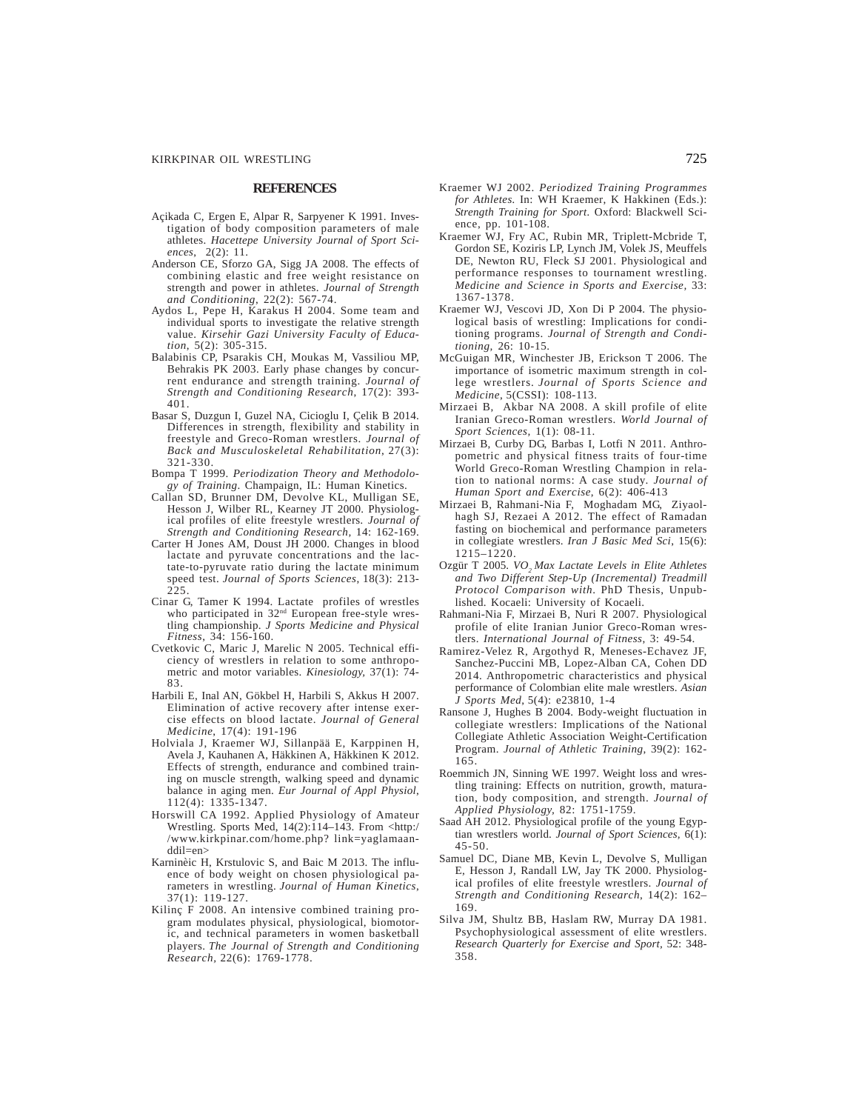#### **REFERENCES**

- Açikada C, Ergen E, Alpar R, Sarpyener K 1991. Investigation of body composition parameters of male athletes. *Hacettepe University Journal of Sport Sciences*, 2(2): 11.
- Anderson CE, Sforzo GA, Sigg JA 2008. The effects of combining elastic and free weight resistance on strength and power in athletes. *Journal of Strength and Conditioning*, 22(2): 567-74.
- Aydos L, Pepe H, Karakus H 2004. Some team and individual sports to investigate the relative strength value. *Kirsehir Gazi University Faculty of Education*, 5(2): 305-315.
- Balabinis CP, Psarakis CH, Moukas M, Vassiliou MP, Behrakis PK 2003. Early phase changes by concurrent endurance and strength training. *Journal of Strength and Conditioning Research*, 17(2): 393- 401.
- Basar S, Duzgun I, Guzel NA, Cicioglu I, Çelik B 2014. Differences in strength, flexibility and stability in freestyle and Greco-Roman wrestlers. *Journal of Back and Musculoskeletal Rehabilitation*, 27(3): 321-330.
- Bompa T 1999. *Periodization Theory and Methodology of Training*. Champaign, IL: Human Kinetics.
- Callan SD, Brunner DM, Devolve KL, Mulligan SE, Hesson J, Wilber RL, Kearney JT 2000. Physiological profiles of elite freestyle wrestlers*. Journal of Strength and Conditioning Research,* 14: 162-169.
- Carter H Jones AM, Doust JH 2000. Changes in blood lactate and pyruvate concentrations and the lactate-to-pyruvate ratio during the lactate minimum speed test. *Journal of Sports Sciences*, 18(3): 213- 225.
- Cinar G, Tamer K 1994. Lactate profiles of wrestles who participated in 32nd European free-style wrestling championship. *J Sports Medicine and Physical Fitness*, 34: 156-160.
- Cvetkovic C, Maric J, Marelic N 2005. Technical efficiency of wrestlers in relation to some anthropometric and motor variables. *Kinesiology,* 37(1): 74- 83.
- Harbili E, Inal AN, Gökbel H, Harbili S, Akkus H 2007. Elimination of active recovery after intense exercise effects on blood lactate. *Journal of General Medicine*, 17(4): 191-196
- Holviala J, Kraemer WJ, Sillanpää E, Karppinen H, Avela J, Kauhanen A, Häkkinen A, Häkkinen K 2012. Effects of strength, endurance and combined training on muscle strength, walking speed and dynamic balance in aging men. *Eur Journal of Appl Physiol*, 112(4): 1335-1347.
- Horswill CA 1992. Applied Physiology of Amateur Wrestling. Sports Med,  $14(2)$ : $114-143$ . From <http:/ /www.kirkpinar.com/home.php? link=yaglamaanddil=en>
- Karninèic H, Krstulovic S, and Baic M 2013. The influence of body weight on chosen physiological parameters in wrestling. *Journal of Human Kinetics*, 37(1): 119-127.
- Kilinç F 2008. An intensive combined training program modulates physical, physiological, biomotoric, and technical parameters in women basketball players. *The Journal of Strength and Conditioning Research,* 22(6): 1769-1778.
- Kraemer WJ 2002. *Periodized Training Programmes for Athletes.* In: WH Kraemer, K Hakkinen (Eds.): *Strength Training for Sport.* Oxford: Blackwell Science, pp. 101-108.
- Kraemer WJ, Fry AC, Rubin MR, Triplett-Mcbride T, Gordon SE, Koziris LP, Lynch JM, Volek JS, Meuffels DE, Newton RU, Fleck SJ 2001. Physiological and performance responses to tournament wrestling. *Medicine and Science in Sports and Exercise,* 33: 1367-1378.
- Kraemer WJ, Vescovi JD, Xon Di P 2004. The physiological basis of wrestling: Implications for conditioning programs. *Journal of Strength and Conditioning,* 26: 10-15.
- McGuigan MR, Winchester JB, Erickson T 2006. The importance of isometric maximum strength in college wrestlers. *Journal of Sports Science and Medicine*, 5(CSSI): 108-113.
- Mirzaei B, Akbar NA 2008. A skill profile of elite Iranian Greco-Roman wrestlers. *World Journal of Sport Sciences,* 1(1): 08-11.
- Mirzaei B, Curby DG, Barbas I, Lotfi N 2011. Anthropometric and physical fitness traits of four-time World Greco-Roman Wrestling Champion in relation to national norms: A case study. *Journal of Human Sport and Exercise*, 6(2): 406-413
- Mirzaei B, Rahmani-Nia F, Moghadam MG, Ziyaolhagh SJ, Rezaei A 2012. The effect of Ramadan fasting on biochemical and performance parameters in collegiate wrestlers. *Iran J Basic Med Sci*, 15(6): 1215–1220.
- Ozgür T 2005. *VO2 Max Lactate Levels in Elite Athletes and Two Different Step-Up (Incremental) Treadmill Protocol Comparison with*. PhD Thesis, Unpublished. Kocaeli: University of Kocaeli.
- Rahmani-Nia F, Mirzaei B, Nuri R 2007. Physiological profile of elite Iranian Junior Greco-Roman wrestlers. *International Journal of Fitness*, 3: 49-54.
- Ramirez-Velez R, Argothyd R, Meneses-Echavez JF, Sanchez-Puccini MB, Lopez-Alban CA, Cohen DD 2014. Anthropometric characteristics and physical performance of Colombian elite male wrestlers. *Asian J Sports Med*, 5(4): e23810, 1-4
- Ransone J, Hughes B 2004. Body-weight fluctuation in collegiate wrestlers: Implications of the National Collegiate Athletic Association Weight-Certification Program. *Journal of Athletic Training*, 39(2): 162- 165.
- Roemmich JN, Sinning WE 1997. Weight loss and wrestling training: Effects on nutrition, growth, maturation, body composition, and strength. *Journal of Applied Physiology,* 82: 1751-1759.
- Saad AH 2012. Physiological profile of the young Egyptian wrestlers world. *Journal of Sport Sciences,* 6(1): 45-50.
- Samuel DC, Diane MB, Kevin L, Devolve S, Mulligan E, Hesson J, Randall LW, Jay TK 2000. Physiological profiles of elite freestyle wrestlers. *Journal of Strength and Conditioning Research*, 14(2): 162– 169.
- Silva JM, Shultz BB, Haslam RW, Murray DA 1981. Psychophysiological assessment of elite wrestlers. *Research Quarterly for Exercise and Sport,* 52: 348- 358.